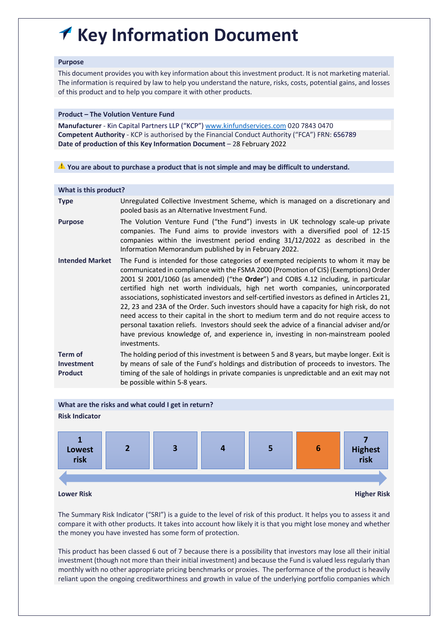# **Key Information Document**  $\blacklozenge$

### **Purpose**

This document provides you with key information about this investment product. It is not marketing material. The information is required by law to help you understand the nature, risks, costs, potential gains, and losses of this product and to help you compare it with other products.

# **Product – The Volution Venture Fund**

**Manufacturer** - Kin Capital Partners LLP ("KCP") www.kinfundservices.com 020 7843 0470 **Competent Authority** - KCP is authorised by the Financial Conduct Authority ("FCA") FRN: 656789 **Date of production of this Key Information Document** – 28 February 2022

⚠ **You are about to purchase a product that is not simple and may be difficult to understand.**

| What is this product?                   |                                                                                                                                                                                                                                                                                                                                                                                                                                                                                                                                                                                                                                                                                                                                                                                                                                            |  |  |  |
|-----------------------------------------|--------------------------------------------------------------------------------------------------------------------------------------------------------------------------------------------------------------------------------------------------------------------------------------------------------------------------------------------------------------------------------------------------------------------------------------------------------------------------------------------------------------------------------------------------------------------------------------------------------------------------------------------------------------------------------------------------------------------------------------------------------------------------------------------------------------------------------------------|--|--|--|
| <b>Type</b>                             | Unregulated Collective Investment Scheme, which is managed on a discretionary and<br>pooled basis as an Alternative Investment Fund.                                                                                                                                                                                                                                                                                                                                                                                                                                                                                                                                                                                                                                                                                                       |  |  |  |
| <b>Purpose</b>                          | The Volution Venture Fund ("the Fund") invests in UK technology scale-up private<br>companies. The Fund aims to provide investors with a diversified pool of 12-15<br>companies within the investment period ending 31/12/2022 as described in the<br>Information Memorandum published by in February 2022.                                                                                                                                                                                                                                                                                                                                                                                                                                                                                                                                |  |  |  |
| <b>Intended Market</b>                  | The Fund is intended for those categories of exempted recipients to whom it may be<br>communicated in compliance with the FSMA 2000 (Promotion of CIS) (Exemptions) Order<br>2001 SI 2001/1060 (as amended) ("the Order") and COBS 4.12 including, in particular<br>certified high net worth individuals, high net worth companies, unincorporated<br>associations, sophisticated investors and self-certified investors as defined in Articles 21,<br>22, 23 and 23A of the Order. Such investors should have a capacity for high risk, do not<br>need access to their capital in the short to medium term and do not require access to<br>personal taxation reliefs. Investors should seek the advice of a financial adviser and/or<br>have previous knowledge of, and experience in, investing in non-mainstream pooled<br>investments. |  |  |  |
| Term of<br>Investment<br><b>Product</b> | The holding period of this investment is between 5 and 8 years, but maybe longer. Exit is<br>by means of sale of the Fund's holdings and distribution of proceeds to investors. The<br>timing of the sale of holdings in private companies is unpredictable and an exit may not<br>be possible within 5-8 years.                                                                                                                                                                                                                                                                                                                                                                                                                                                                                                                           |  |  |  |
|                                         |                                                                                                                                                                                                                                                                                                                                                                                                                                                                                                                                                                                                                                                                                                                                                                                                                                            |  |  |  |



The Summary Risk Indicator ("SRI") is a guide to the level of risk of this product. It helps you to assess it and compare it with other products. It takes into account how likely it is that you might lose money and whether the money you have invested has some form of protection.

This product has been classed 6 out of 7 because there is a possibility that investors may lose all their initial investment (though not more than their initial investment) and because the Fund is valued less regularly than monthly with no other appropriate pricing benchmarks or proxies. The performance of the product is heavily reliant upon the ongoing creditworthiness and growth in value of the underlying portfolio companies which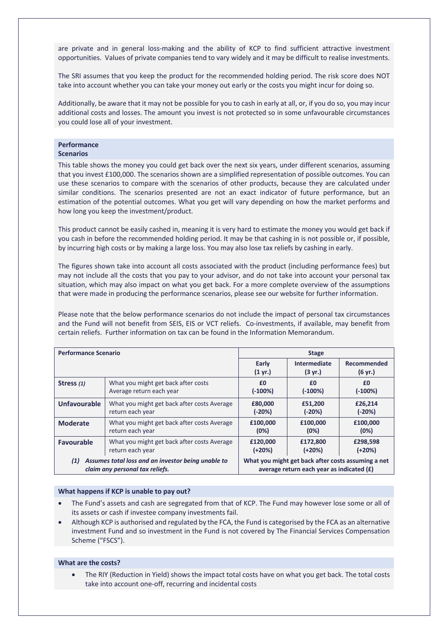are private and in general loss-making and the ability of KCP to find sufficient attractive investment opportunities. Values of private companies tend to vary widely and it may be difficult to realise investments.

The SRI assumes that you keep the product for the recommended holding period. The risk score does NOT take into account whether you can take your money out early or the costs you might incur for doing so.

Additionally, be aware that it may not be possible for you to cash in early at all, or, if you do so, you may incur additional costs and losses. The amount you invest is not protected so in some unfavourable circumstances you could lose all of your investment.

#### **Performance Scenarios**

This table shows the money you could get back over the next six years, under different scenarios, assuming that you invest £100,000. The scenarios shown are a simplified representation of possible outcomes. You can use these scenarios to compare with the scenarios of other products, because they are calculated under similar conditions. The scenarios presented are not an exact indicator of future performance, but an estimation of the potential outcomes. What you get will vary depending on how the market performs and how long you keep the investment/product.

This product cannot be easily cashed in, meaning it is very hard to estimate the money you would get back if you cash in before the recommended holding period. It may be that cashing in is not possible or, if possible, by incurring high costs or by making a large loss. You may also lose tax reliefs by cashing in early.

The figures shown take into account all costs associated with the product (including performance fees) but may not include all the costs that you pay to your advisor, and do not take into account your personal tax situation, which may also impact on what you get back. For a more complete overview of the assumptions that were made in producing the performance scenarios, please see our website for further information.

Please note that the below performance scenarios do not include the impact of personal tax circumstances and the Fund will not benefit from SEIS, EIS or VCT reliefs. Co-investments, if available, may benefit from certain reliefs. Further information on tax can be found in the Information Memorandum.

| <b>Performance Scenario</b>                                                                  |                                             | <b>Stage</b>                                                                                      |                                   |                        |
|----------------------------------------------------------------------------------------------|---------------------------------------------|---------------------------------------------------------------------------------------------------|-----------------------------------|------------------------|
|                                                                                              |                                             | Early<br>$(1 \text{ yr.})$                                                                        | Intermediate<br>$(3 \text{ yr.})$ | Recommended<br>(6 yr.) |
| Stress (1)                                                                                   | What you might get back after costs         | £0                                                                                                | £0                                | £0                     |
|                                                                                              | Average return each year                    | $(-100%)$                                                                                         | $(-100%)$                         | $(-100%)$              |
| <b>Unfavourable</b>                                                                          | What you might get back after costs Average | £80,000                                                                                           | £51,200                           | £26,214                |
|                                                                                              | return each year                            | $(-20%)$                                                                                          | $(-20%)$                          | $(-20%)$               |
| <b>Moderate</b>                                                                              | What you might get back after costs Average | £100,000                                                                                          | £100,000                          | £100,000               |
|                                                                                              | return each year                            | (0%)                                                                                              | (0%)                              | (0%)                   |
| <b>Favourable</b>                                                                            | What you might get back after costs Average | £120,000                                                                                          | £172,800                          | £298,598               |
|                                                                                              | return each year                            | $(+20%)$                                                                                          | $(+20%)$                          | $(+20%)$               |
| Assumes total loss and an investor being unable to<br>(1)<br>claim any personal tax reliefs. |                                             | What you might get back after costs assuming a net<br>average return each year as indicated $(E)$ |                                   |                        |

#### **What happens if KCP is unable to pay out?**

- The Fund's assets and cash are segregated from that of KCP. The Fund may however lose some or all of its assets or cash if investee company investments fail.
- Although KCP is authorised and regulated by the FCA, the Fund is categorised by the FCA as an alternative investment Fund and so investment in the Fund is not covered by The Financial Services Compensation Scheme ("FSCS").

#### **What are the costs?**

• The RIY (Reduction in Yield) shows the impact total costs have on what you get back. The total costs take into account one-off, recurring and incidental costs